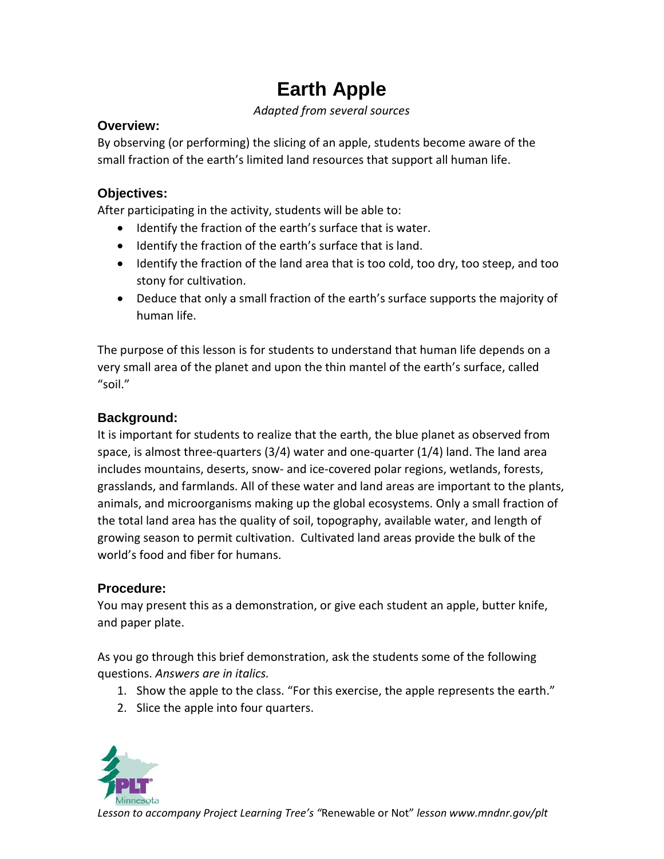# **Earth Apple**

*Adapted from several sources*

#### **Overview:**

By observing (or performing) the slicing of an apple, students become aware of the small fraction of the earth's limited land resources that support all human life.

### **Objectives:**

After participating in the activity, students will be able to:

- Identify the fraction of the earth's surface that is water.
- Identify the fraction of the earth's surface that is land.
- Identify the fraction of the land area that is too cold, too dry, too steep, and too stony for cultivation.
- Deduce that only a small fraction of the earth's surface supports the majority of human life.

The purpose of this lesson is for students to understand that human life depends on a very small area of the planet and upon the thin mantel of the earth's surface, called "soil."

## **Background:**

It is important for students to realize that the earth, the blue planet as observed from space, is almost three-quarters (3/4) water and one-quarter (1/4) land. The land area includes mountains, deserts, snow- and ice-covered polar regions, wetlands, forests, grasslands, and farmlands. All of these water and land areas are important to the plants, animals, and microorganisms making up the global ecosystems. Only a small fraction of the total land area has the quality of soil, topography, available water, and length of growing season to permit cultivation. Cultivated land areas provide the bulk of the world's food and fiber for humans.

## **Procedure:**

You may present this as a demonstration, or give each student an apple, butter knife, and paper plate.

As you go through this brief demonstration, ask the students some of the following questions. *Answers are in italics.*

- 1. Show the apple to the class. "For this exercise, the apple represents the earth."
- 2. Slice the apple into four quarters.